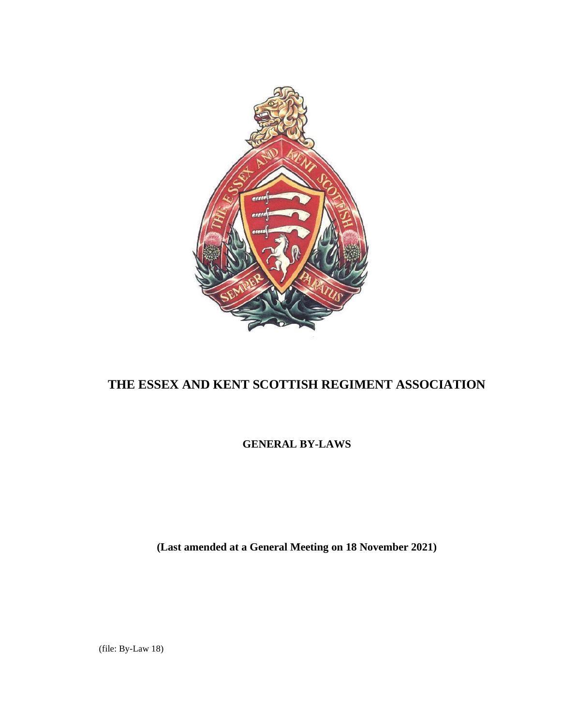

# **THE ESSEX AND KENT SCOTTISH REGIMENT ASSOCIATION**

**GENERAL BY-LAWS**

**(Last amended at a General Meeting on 18 November 2021)**

(file: By-Law 18)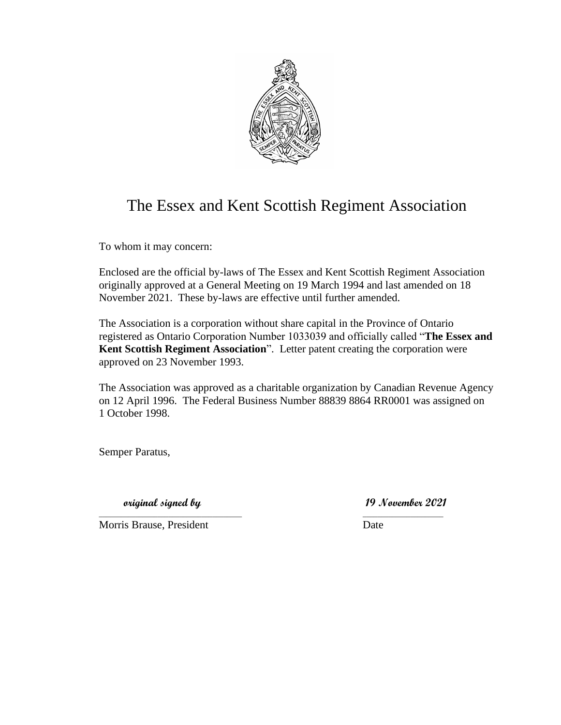

# The Essex and Kent Scottish Regiment Association

To whom it may concern:

Enclosed are the official by-laws of The Essex and Kent Scottish Regiment Association originally approved at a General Meeting on 19 March 1994 and last amended on 18 November 2021. These by-laws are effective until further amended.

The Association is a corporation without share capital in the Province of Ontario registered as Ontario Corporation Number 1033039 and officially called "**The Essex and Kent Scottish Regiment Association**". Letter patent creating the corporation were approved on 23 November 1993.

The Association was approved as a charitable organization by Canadian Revenue Agency on 12 April 1996. The Federal Business Number 88839 8864 RR0001 was assigned on 1 October 1998.

Semper Paratus,

 **original signed by 19 November 2021**

 $\Box$ Morris Brause, President Date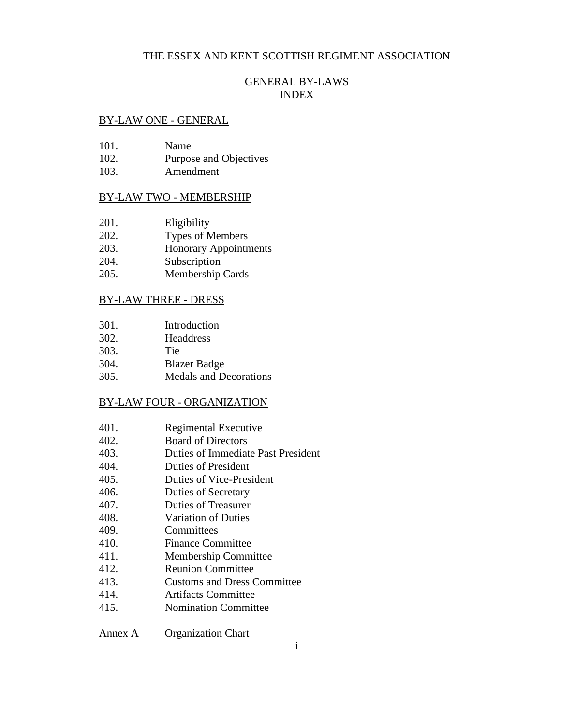### THE ESSEX AND KENT SCOTTISH REGIMENT ASSOCIATION

### GENERAL BY-LAWS INDEX

#### BY-LAW ONE - GENERAL

- 101. Name
- 102. Purpose and Objectives
- 103. Amendment

#### BY-LAW TWO - MEMBERSHIP

- 201. Eligibility
- 202. Types of Members
- 203. Honorary Appointments
- 204. Subscription
- 205. Membership Cards

#### BY-LAW THREE - DRESS

- 301. Introduction
- 302. Headdress
- 303. Tie
- 304. Blazer Badge
- 305. Medals and Decorations

#### BY-LAW FOUR - ORGANIZATION

- 401. Regimental Executive
- 402. Board of Directors
- 403. Duties of Immediate Past President
- 404. Duties of President
- 405. Duties of Vice-President
- 406. Duties of Secretary
- 407. Duties of Treasurer
- 408. Variation of Duties
- 409. Committees
- 410. Finance Committee
- 411. Membership Committee
- 412. Reunion Committee
- 413. Customs and Dress Committee
- 414. Artifacts Committee
- 415. Nomination Committee

Annex A Organization Chart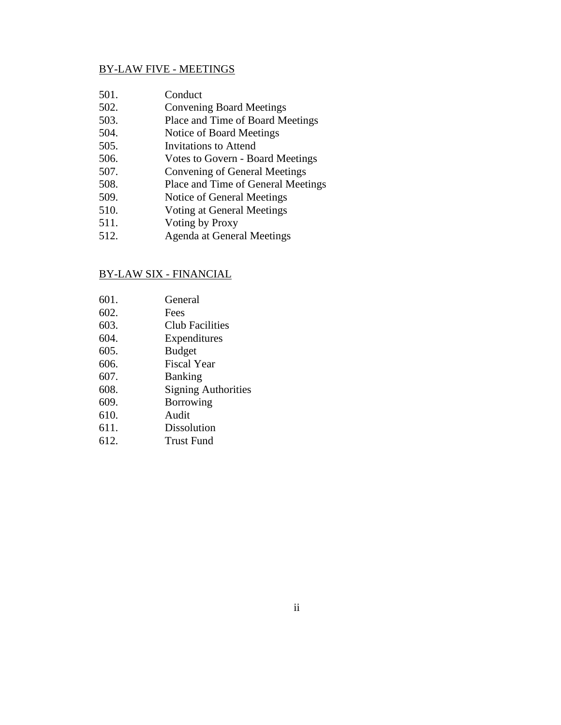#### BY-LAW FIVE - MEETINGS

- 501. Conduct
- 502. Convening Board Meetings
- 503. Place and Time of Board Meetings
- 504. Notice of Board Meetings
- 505. Invitations to Attend
- 506. Votes to Govern Board Meetings
- 507. Convening of General Meetings
- 508. Place and Time of General Meetings
- 509. Notice of General Meetings
- 510. Voting at General Meetings
- 511. Voting by Proxy
- 512. Agenda at General Meetings

#### BY-LAW SIX - FINANCIAL

- 601. General
- 602. Fees
- 603. Club Facilities
- 604. Expenditures
- 605. Budget
- 606. Fiscal Year
- 607. Banking
- 608. Signing Authorities
- 609. Borrowing
- 610. Audit
- 611. Dissolution
- 612. Trust Fund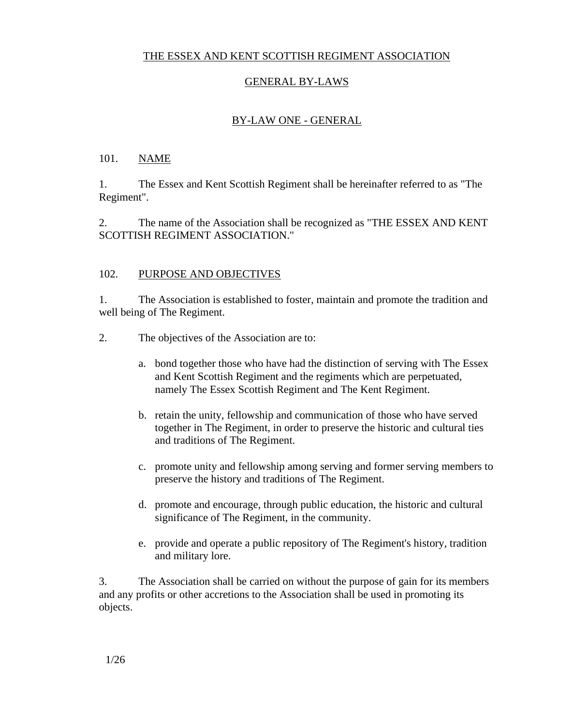# THE ESSEX AND KENT SCOTTISH REGIMENT ASSOCIATION

### GENERAL BY-LAWS

# BY-LAW ONE - GENERAL

#### 101. NAME

1. The Essex and Kent Scottish Regiment shall be hereinafter referred to as "The Regiment".

2. The name of the Association shall be recognized as "THE ESSEX AND KENT SCOTTISH REGIMENT ASSOCIATION."

#### 102. PURPOSE AND OBJECTIVES

1. The Association is established to foster, maintain and promote the tradition and well being of The Regiment.

- 2. The objectives of the Association are to:
	- a. bond together those who have had the distinction of serving with The Essex and Kent Scottish Regiment and the regiments which are perpetuated, namely The Essex Scottish Regiment and The Kent Regiment.
	- b. retain the unity, fellowship and communication of those who have served together in The Regiment, in order to preserve the historic and cultural ties and traditions of The Regiment.
	- c. promote unity and fellowship among serving and former serving members to preserve the history and traditions of The Regiment.
	- d. promote and encourage, through public education, the historic and cultural significance of The Regiment, in the community.
	- e. provide and operate a public repository of The Regiment's history, tradition and military lore.

3. The Association shall be carried on without the purpose of gain for its members and any profits or other accretions to the Association shall be used in promoting its objects.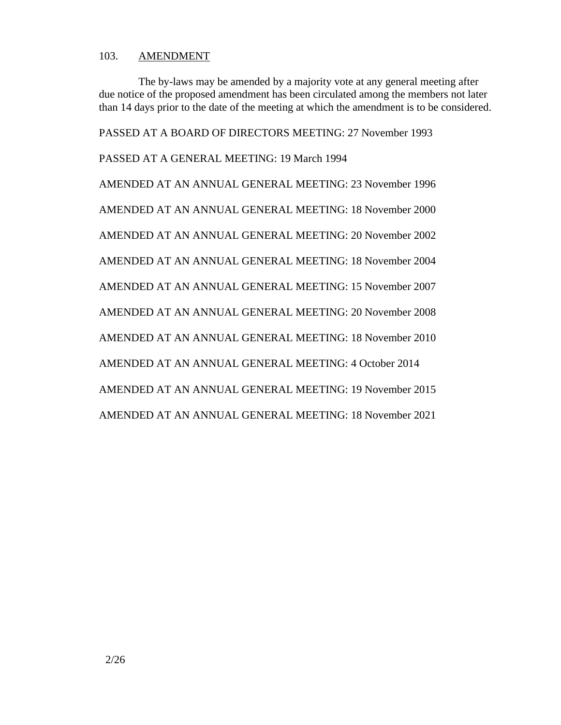#### 103. AMENDMENT

The by-laws may be amended by a majority vote at any general meeting after due notice of the proposed amendment has been circulated among the members not later than 14 days prior to the date of the meeting at which the amendment is to be considered.

PASSED AT A BOARD OF DIRECTORS MEETING: 27 November 1993 PASSED AT A GENERAL MEETING: 19 March 1994 AMENDED AT AN ANNUAL GENERAL MEETING: 23 November 1996 AMENDED AT AN ANNUAL GENERAL MEETING: 18 November 2000 AMENDED AT AN ANNUAL GENERAL MEETING: 20 November 2002 AMENDED AT AN ANNUAL GENERAL MEETING: 18 November 2004 AMENDED AT AN ANNUAL GENERAL MEETING: 15 November 2007 AMENDED AT AN ANNUAL GENERAL MEETING: 20 November 2008 AMENDED AT AN ANNUAL GENERAL MEETING: 18 November 2010 AMENDED AT AN ANNUAL GENERAL MEETING: 4 October 2014 AMENDED AT AN ANNUAL GENERAL MEETING: 19 November 2015 AMENDED AT AN ANNUAL GENERAL MEETING: 18 November 2021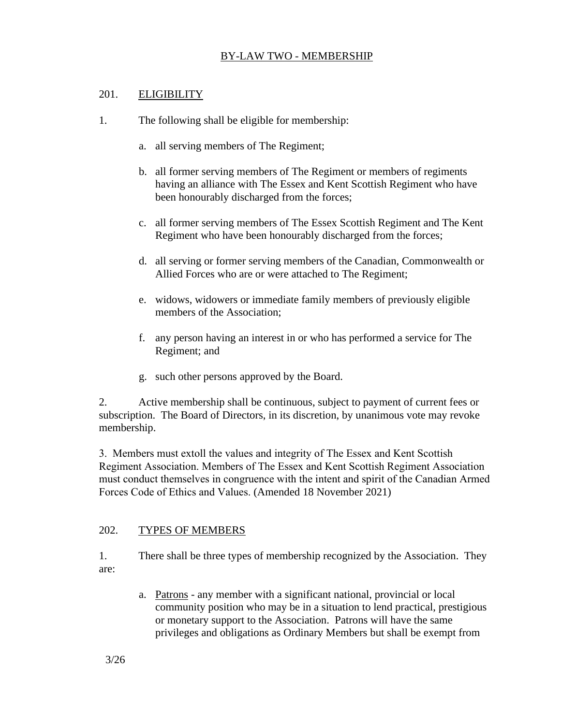# 201. ELIGIBILITY

- 1. The following shall be eligible for membership:
	- a. all serving members of The Regiment;
	- b. all former serving members of The Regiment or members of regiments having an alliance with The Essex and Kent Scottish Regiment who have been honourably discharged from the forces;
	- c. all former serving members of The Essex Scottish Regiment and The Kent Regiment who have been honourably discharged from the forces;
	- d. all serving or former serving members of the Canadian, Commonwealth or Allied Forces who are or were attached to The Regiment;
	- e. widows, widowers or immediate family members of previously eligible members of the Association;
	- f. any person having an interest in or who has performed a service for The Regiment; and
	- g. such other persons approved by the Board.

2. Active membership shall be continuous, subject to payment of current fees or subscription. The Board of Directors, in its discretion, by unanimous vote may revoke membership.

3. Members must extoll the values and integrity of The Essex and Kent Scottish Regiment Association. Members of The Essex and Kent Scottish Regiment Association must conduct themselves in congruence with the intent and spirit of the Canadian Armed Forces Code of Ethics and Values. (Amended 18 November 2021)

# 202. TYPES OF MEMBERS

1. There shall be three types of membership recognized by the Association. They are:

> a. Patrons - any member with a significant national, provincial or local community position who may be in a situation to lend practical, prestigious or monetary support to the Association. Patrons will have the same privileges and obligations as Ordinary Members but shall be exempt from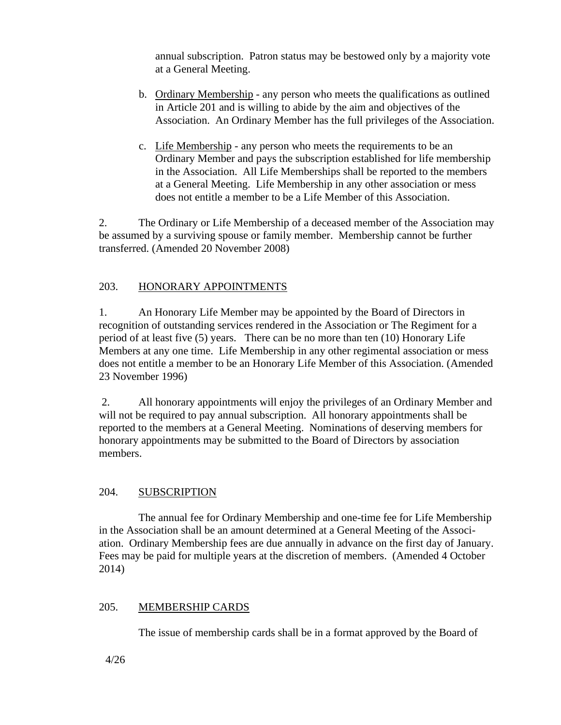annual subscription. Patron status may be bestowed only by a majority vote at a General Meeting.

- b. Ordinary Membership any person who meets the qualifications as outlined in Article 201 and is willing to abide by the aim and objectives of the Association. An Ordinary Member has the full privileges of the Association.
- c. Life Membership any person who meets the requirements to be an Ordinary Member and pays the subscription established for life membership in the Association. All Life Memberships shall be reported to the members at a General Meeting. Life Membership in any other association or mess does not entitle a member to be a Life Member of this Association.

2. The Ordinary or Life Membership of a deceased member of the Association may be assumed by a surviving spouse or family member. Membership cannot be further transferred. (Amended 20 November 2008)

# 203. HONORARY APPOINTMENTS

1. An Honorary Life Member may be appointed by the Board of Directors in recognition of outstanding services rendered in the Association or The Regiment for a period of at least five (5) years. There can be no more than ten (10) Honorary Life Members at any one time. Life Membership in any other regimental association or mess does not entitle a member to be an Honorary Life Member of this Association. (Amended 23 November 1996)

2. All honorary appointments will enjoy the privileges of an Ordinary Member and will not be required to pay annual subscription. All honorary appointments shall be reported to the members at a General Meeting. Nominations of deserving members for honorary appointments may be submitted to the Board of Directors by association members.

# 204. SUBSCRIPTION

The annual fee for Ordinary Membership and one-time fee for Life Membership in the Association shall be an amount determined at a General Meeting of the Association. Ordinary Membership fees are due annually in advance on the first day of January. Fees may be paid for multiple years at the discretion of members. (Amended 4 October 2014)

# 205. MEMBERSHIP CARDS

The issue of membership cards shall be in a format approved by the Board of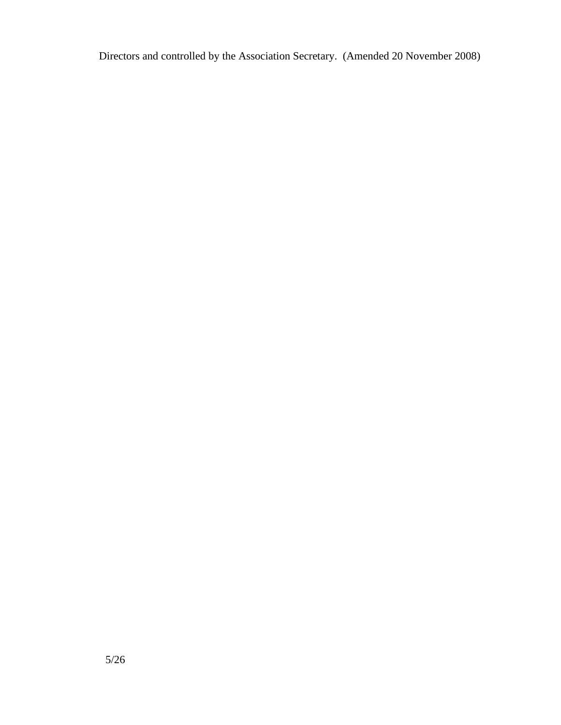Directors and controlled by the Association Secretary. (Amended 20 November 2008)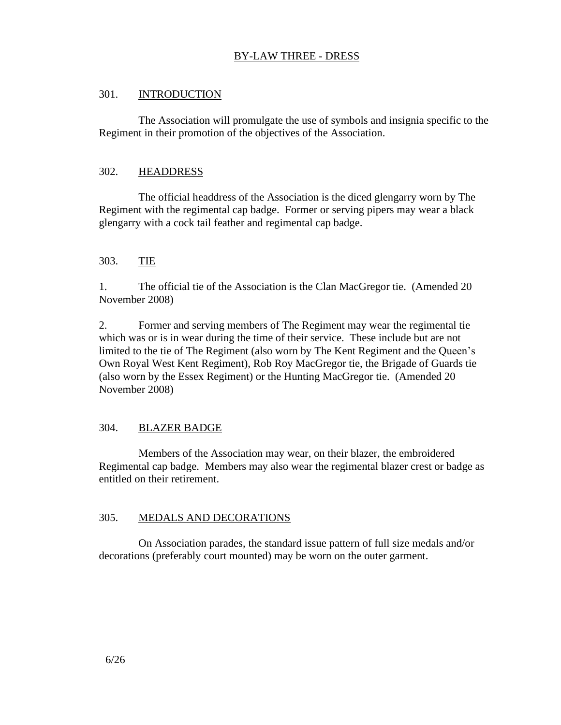### 301. **INTRODUCTION**

The Association will promulgate the use of symbols and insignia specific to the Regiment in their promotion of the objectives of the Association.

### 302. HEADDRESS

The official headdress of the Association is the diced glengarry worn by The Regiment with the regimental cap badge. Former or serving pipers may wear a black glengarry with a cock tail feather and regimental cap badge.

### 303. TIE

1. The official tie of the Association is the Clan MacGregor tie. (Amended 20 November 2008)

2. Former and serving members of The Regiment may wear the regimental tie which was or is in wear during the time of their service. These include but are not limited to the tie of The Regiment (also worn by The Kent Regiment and the Queen's Own Royal West Kent Regiment), Rob Roy MacGregor tie, the Brigade of Guards tie (also worn by the Essex Regiment) or the Hunting MacGregor tie. (Amended 20 November 2008)

# 304. BLAZER BADGE

Members of the Association may wear, on their blazer, the embroidered Regimental cap badge. Members may also wear the regimental blazer crest or badge as entitled on their retirement.

#### 305. MEDALS AND DECORATIONS

On Association parades, the standard issue pattern of full size medals and/or decorations (preferably court mounted) may be worn on the outer garment.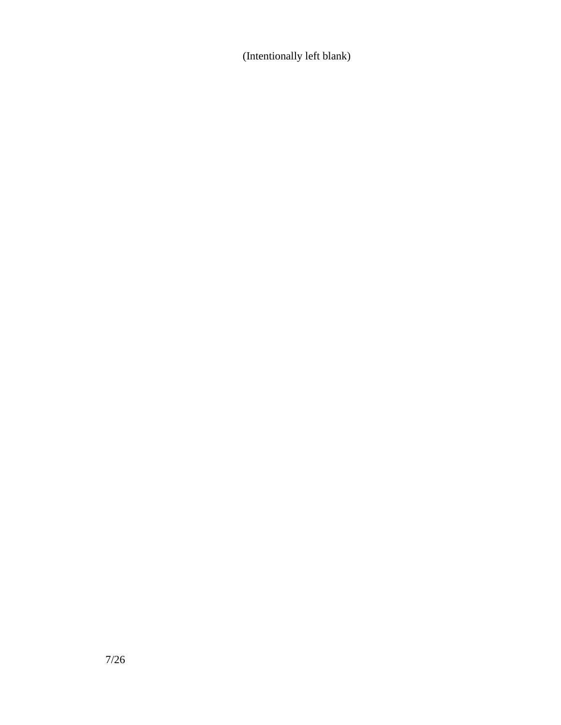(Intentionally left blank)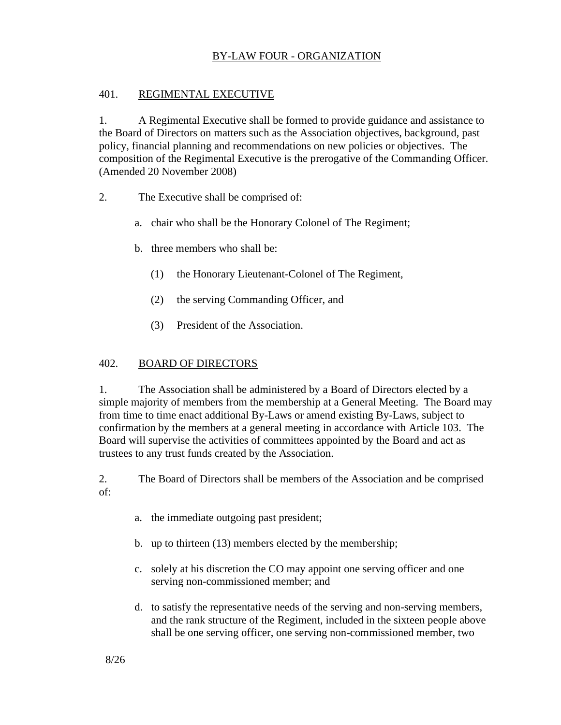# BY-LAW FOUR - ORGANIZATION

### 401. REGIMENTAL EXECUTIVE

1. A Regimental Executive shall be formed to provide guidance and assistance to the Board of Directors on matters such as the Association objectives, background, past policy, financial planning and recommendations on new policies or objectives. The composition of the Regimental Executive is the prerogative of the Commanding Officer. (Amended 20 November 2008)

- 2. The Executive shall be comprised of:
	- a. chair who shall be the Honorary Colonel of The Regiment;
	- b. three members who shall be:
		- (1) the Honorary Lieutenant-Colonel of The Regiment,
		- (2) the serving Commanding Officer, and
		- (3) President of the Association.

#### 402. BOARD OF DIRECTORS

1. The Association shall be administered by a Board of Directors elected by a simple majority of members from the membership at a General Meeting. The Board may from time to time enact additional By-Laws or amend existing By-Laws, subject to confirmation by the members at a general meeting in accordance with Article 103. The Board will supervise the activities of committees appointed by the Board and act as trustees to any trust funds created by the Association.

2. The Board of Directors shall be members of the Association and be comprised of:

- a. the immediate outgoing past president;
- b. up to thirteen (13) members elected by the membership;
- c. solely at his discretion the CO may appoint one serving officer and one serving non-commissioned member; and
- d. to satisfy the representative needs of the serving and non-serving members, and the rank structure of the Regiment, included in the sixteen people above shall be one serving officer, one serving non-commissioned member, two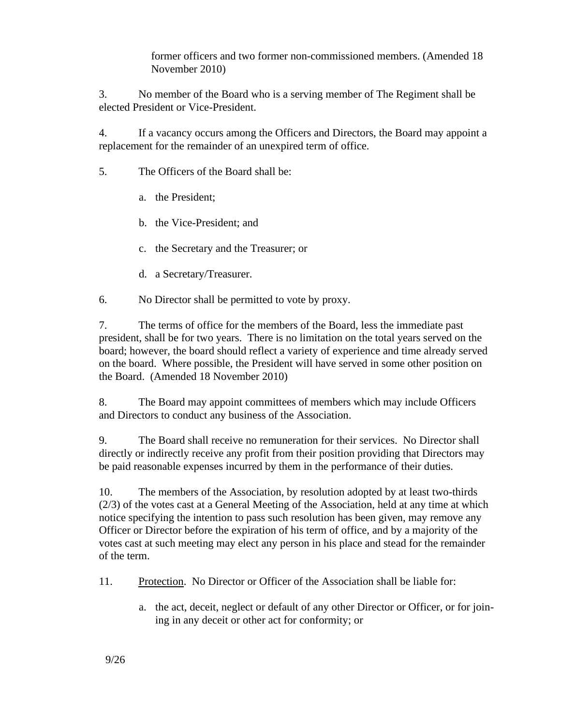former officers and two former non-commissioned members. (Amended 18 November 2010)

3. No member of the Board who is a serving member of The Regiment shall be elected President or Vice-President.

4. If a vacancy occurs among the Officers and Directors, the Board may appoint a replacement for the remainder of an unexpired term of office.

5. The Officers of the Board shall be:

a. the President;

- b. the Vice-President; and
- c. the Secretary and the Treasurer; or
- d. a Secretary/Treasurer.
- 6. No Director shall be permitted to vote by proxy.

7. The terms of office for the members of the Board, less the immediate past president, shall be for two years. There is no limitation on the total years served on the board; however, the board should reflect a variety of experience and time already served on the board. Where possible, the President will have served in some other position on the Board. (Amended 18 November 2010)

8. The Board may appoint committees of members which may include Officers and Directors to conduct any business of the Association.

9. The Board shall receive no remuneration for their services. No Director shall directly or indirectly receive any profit from their position providing that Directors may be paid reasonable expenses incurred by them in the performance of their duties.

10. The members of the Association, by resolution adopted by at least two-thirds (2/3) of the votes cast at a General Meeting of the Association, held at any time at which notice specifying the intention to pass such resolution has been given, may remove any Officer or Director before the expiration of his term of office, and by a majority of the votes cast at such meeting may elect any person in his place and stead for the remainder of the term.

11. Protection. No Director or Officer of the Association shall be liable for:

a. the act, deceit, neglect or default of any other Director or Officer, or for joining in any deceit or other act for conformity; or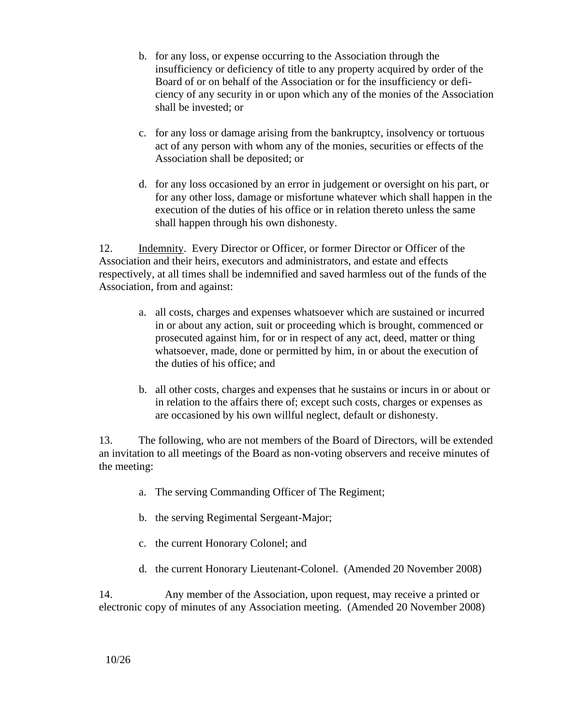- b. for any loss, or expense occurring to the Association through the insufficiency or deficiency of title to any property acquired by order of the Board of or on behalf of the Association or for the insufficiency or deficiency of any security in or upon which any of the monies of the Association shall be invested; or
- c. for any loss or damage arising from the bankruptcy, insolvency or tortuous act of any person with whom any of the monies, securities or effects of the Association shall be deposited; or
- d. for any loss occasioned by an error in judgement or oversight on his part, or for any other loss, damage or misfortune whatever which shall happen in the execution of the duties of his office or in relation thereto unless the same shall happen through his own dishonesty.

12. Indemnity. Every Director or Officer, or former Director or Officer of the Association and their heirs, executors and administrators, and estate and effects respectively, at all times shall be indemnified and saved harmless out of the funds of the Association, from and against:

- a. all costs, charges and expenses whatsoever which are sustained or incurred in or about any action, suit or proceeding which is brought, commenced or prosecuted against him, for or in respect of any act, deed, matter or thing whatsoever, made, done or permitted by him, in or about the execution of the duties of his office; and
- b. all other costs, charges and expenses that he sustains or incurs in or about or in relation to the affairs there of; except such costs, charges or expenses as are occasioned by his own willful neglect, default or dishonesty.

13. The following, who are not members of the Board of Directors, will be extended an invitation to all meetings of the Board as non-voting observers and receive minutes of the meeting:

- a. The serving Commanding Officer of The Regiment;
- b. the serving Regimental Sergeant-Major;
- c. the current Honorary Colonel; and
- d. the current Honorary Lieutenant-Colonel. (Amended 20 November 2008)

14. Any member of the Association, upon request, may receive a printed or electronic copy of minutes of any Association meeting. (Amended 20 November 2008)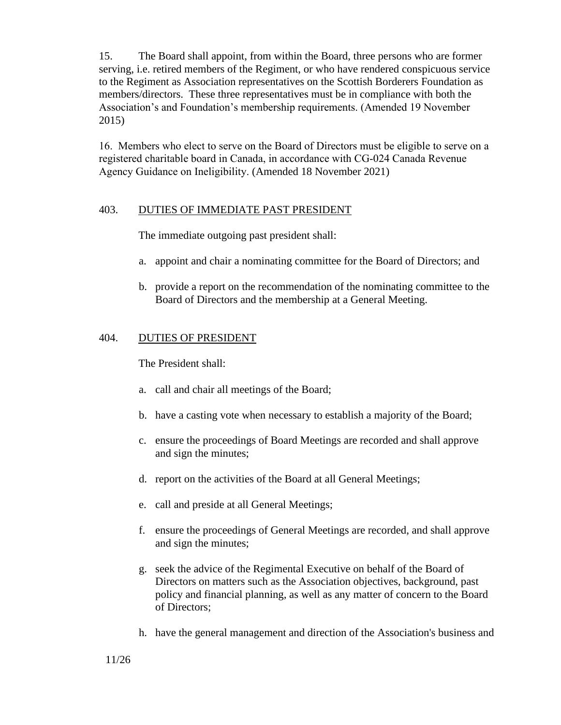15. The Board shall appoint, from within the Board, three persons who are former serving, i.e. retired members of the Regiment, or who have rendered conspicuous service to the Regiment as Association representatives on the Scottish Borderers Foundation as members/directors. These three representatives must be in compliance with both the Association's and Foundation's membership requirements. (Amended 19 November 2015)

16. Members who elect to serve on the Board of Directors must be eligible to serve on a registered charitable board in Canada, in accordance with CG-024 Canada Revenue Agency Guidance on Ineligibility. (Amended 18 November 2021)

# 403. DUTIES OF IMMEDIATE PAST PRESIDENT

The immediate outgoing past president shall:

- a. appoint and chair a nominating committee for the Board of Directors; and
- b. provide a report on the recommendation of the nominating committee to the Board of Directors and the membership at a General Meeting.

# 404. DUTIES OF PRESIDENT

### The President shall:

- a. call and chair all meetings of the Board;
- b. have a casting vote when necessary to establish a majority of the Board;
- c. ensure the proceedings of Board Meetings are recorded and shall approve and sign the minutes;
- d. report on the activities of the Board at all General Meetings;
- e. call and preside at all General Meetings;
- f. ensure the proceedings of General Meetings are recorded, and shall approve and sign the minutes;
- g. seek the advice of the Regimental Executive on behalf of the Board of Directors on matters such as the Association objectives, background, past policy and financial planning, as well as any matter of concern to the Board of Directors;
- h. have the general management and direction of the Association's business and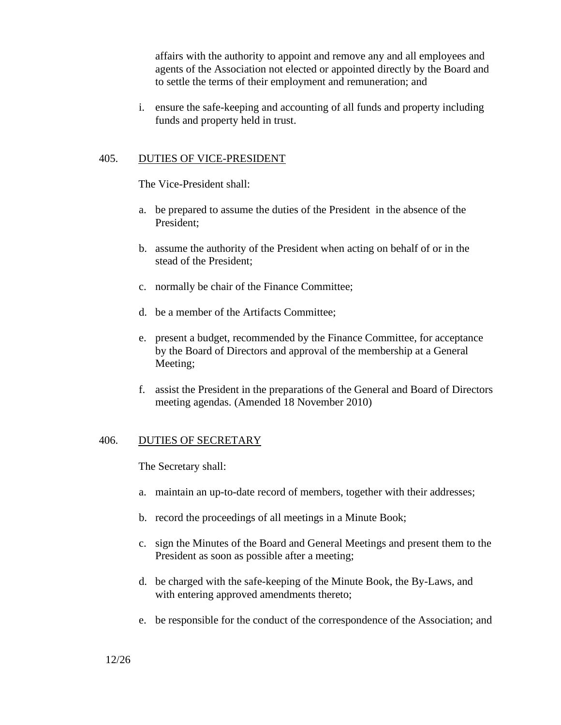affairs with the authority to appoint and remove any and all employees and agents of the Association not elected or appointed directly by the Board and to settle the terms of their employment and remuneration; and

i. ensure the safe-keeping and accounting of all funds and property including funds and property held in trust.

### 405. DUTIES OF VICE-PRESIDENT

The Vice-President shall:

- a. be prepared to assume the duties of the President in the absence of the President;
- b. assume the authority of the President when acting on behalf of or in the stead of the President;
- c. normally be chair of the Finance Committee;
- d. be a member of the Artifacts Committee;
- e. present a budget, recommended by the Finance Committee, for acceptance by the Board of Directors and approval of the membership at a General Meeting;
- f. assist the President in the preparations of the General and Board of Directors meeting agendas. (Amended 18 November 2010)

### 406. DUTIES OF SECRETARY

The Secretary shall:

- a. maintain an up-to-date record of members, together with their addresses;
- b. record the proceedings of all meetings in a Minute Book;
- c. sign the Minutes of the Board and General Meetings and present them to the President as soon as possible after a meeting;
- d. be charged with the safe-keeping of the Minute Book, the By-Laws, and with entering approved amendments thereto;
- e. be responsible for the conduct of the correspondence of the Association; and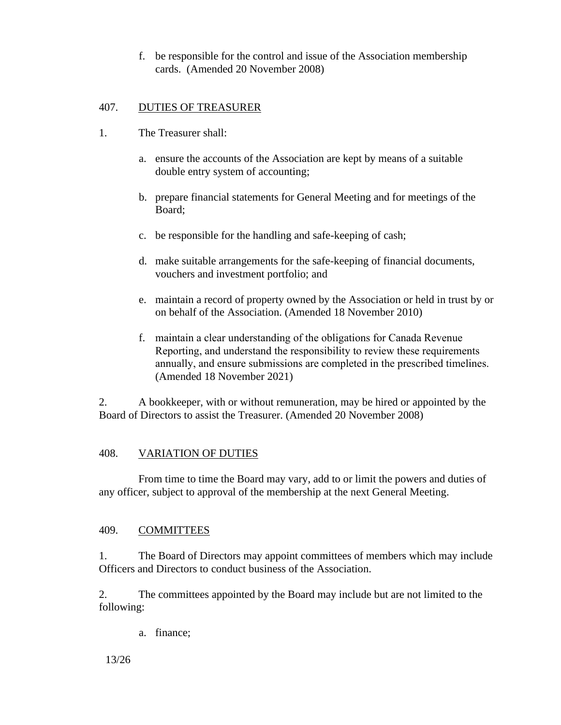f. be responsible for the control and issue of the Association membership cards. (Amended 20 November 2008)

# 407. DUTIES OF TREASURER

- 1. The Treasurer shall:
	- a. ensure the accounts of the Association are kept by means of a suitable double entry system of accounting;
	- b. prepare financial statements for General Meeting and for meetings of the Board;
	- c. be responsible for the handling and safe-keeping of cash;
	- d. make suitable arrangements for the safe-keeping of financial documents, vouchers and investment portfolio; and
	- e. maintain a record of property owned by the Association or held in trust by or on behalf of the Association. (Amended 18 November 2010)
	- f. maintain a clear understanding of the obligations for Canada Revenue Reporting, and understand the responsibility to review these requirements annually, and ensure submissions are completed in the prescribed timelines. (Amended 18 November 2021)

2. A bookkeeper, with or without remuneration, may be hired or appointed by the Board of Directors to assist the Treasurer. (Amended 20 November 2008)

# 408. VARIATION OF DUTIES

From time to time the Board may vary, add to or limit the powers and duties of any officer, subject to approval of the membership at the next General Meeting.

# 409. COMMITTEES

1. The Board of Directors may appoint committees of members which may include Officers and Directors to conduct business of the Association.

2. The committees appointed by the Board may include but are not limited to the following:

a. finance;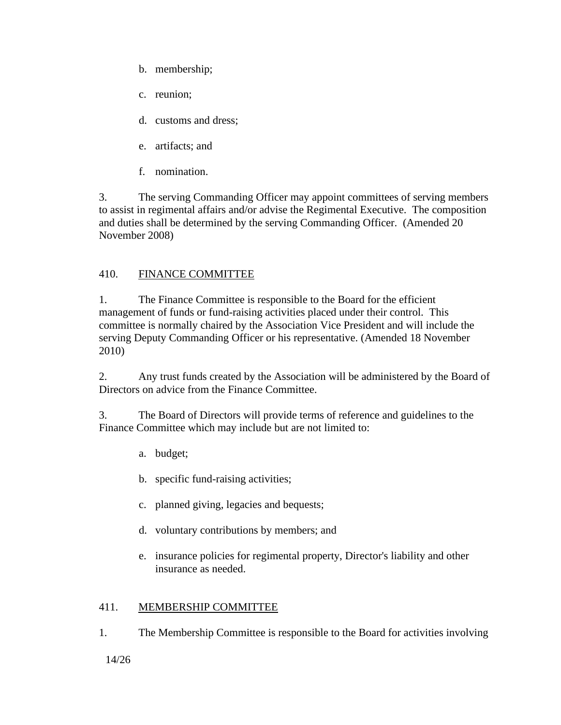- b. membership;
- c. reunion;
- d. customs and dress;
- e. artifacts; and
- f. nomination.

3. The serving Commanding Officer may appoint committees of serving members to assist in regimental affairs and/or advise the Regimental Executive. The composition and duties shall be determined by the serving Commanding Officer. (Amended 20 November 2008)

# 410. FINANCE COMMITTEE

1. The Finance Committee is responsible to the Board for the efficient management of funds or fund-raising activities placed under their control. This committee is normally chaired by the Association Vice President and will include the serving Deputy Commanding Officer or his representative. (Amended 18 November 2010)

2. Any trust funds created by the Association will be administered by the Board of Directors on advice from the Finance Committee.

3. The Board of Directors will provide terms of reference and guidelines to the Finance Committee which may include but are not limited to:

- a. budget;
- b. specific fund-raising activities;
- c. planned giving, legacies and bequests;
- d. voluntary contributions by members; and
- e. insurance policies for regimental property, Director's liability and other insurance as needed.

# 411. MEMBERSHIP COMMITTEE

1. The Membership Committee is responsible to the Board for activities involving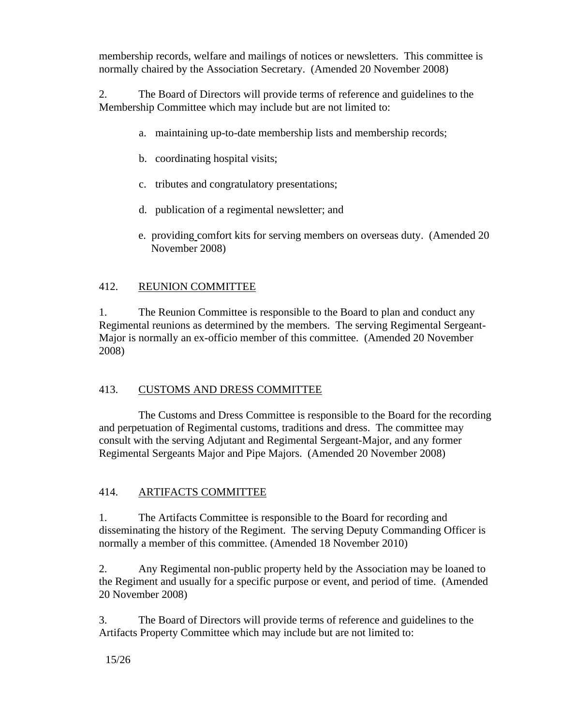membership records, welfare and mailings of notices or newsletters. This committee is normally chaired by the Association Secretary. (Amended 20 November 2008)

2. The Board of Directors will provide terms of reference and guidelines to the Membership Committee which may include but are not limited to:

- a. maintaining up-to-date membership lists and membership records;
- b. coordinating hospital visits;
- c. tributes and congratulatory presentations;
- d. publication of a regimental newsletter; and
- e. providing comfort kits for serving members on overseas duty. (Amended 20 November 2008)

# 412. REUNION COMMITTEE

1. The Reunion Committee is responsible to the Board to plan and conduct any Regimental reunions as determined by the members. The serving Regimental Sergeant-Major is normally an ex-officio member of this committee. (Amended 20 November 2008)

# 413. CUSTOMS AND DRESS COMMITTEE

The Customs and Dress Committee is responsible to the Board for the recording and perpetuation of Regimental customs, traditions and dress. The committee may consult with the serving Adjutant and Regimental Sergeant-Major, and any former Regimental Sergeants Major and Pipe Majors. (Amended 20 November 2008)

# 414. ARTIFACTS COMMITTEE

1. The Artifacts Committee is responsible to the Board for recording and disseminating the history of the Regiment. The serving Deputy Commanding Officer is normally a member of this committee. (Amended 18 November 2010)

2. Any Regimental non-public property held by the Association may be loaned to the Regiment and usually for a specific purpose or event, and period of time. (Amended 20 November 2008)

3. The Board of Directors will provide terms of reference and guidelines to the Artifacts Property Committee which may include but are not limited to: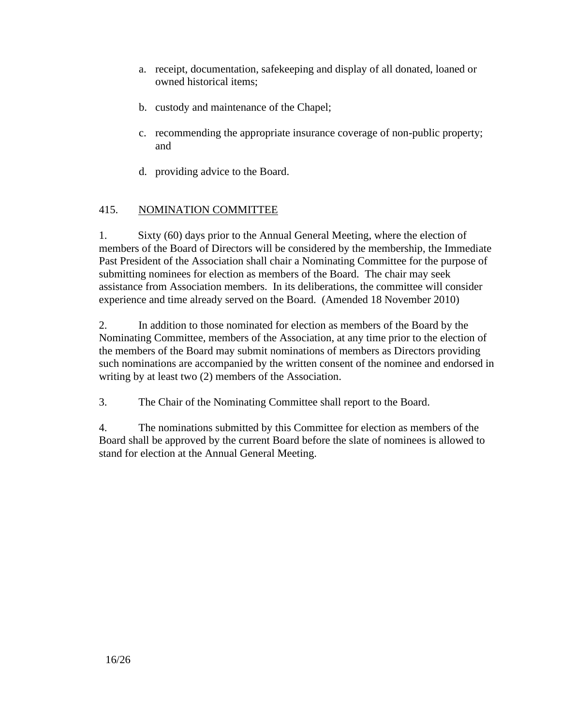- a. receipt, documentation, safekeeping and display of all donated, loaned or owned historical items;
- b. custody and maintenance of the Chapel;
- c. recommending the appropriate insurance coverage of non-public property; and
- d. providing advice to the Board.

# 415. NOMINATION COMMITTEE

1. Sixty (60) days prior to the Annual General Meeting, where the election of members of the Board of Directors will be considered by the membership, the Immediate Past President of the Association shall chair a Nominating Committee for the purpose of submitting nominees for election as members of the Board. The chair may seek assistance from Association members. In its deliberations, the committee will consider experience and time already served on the Board. (Amended 18 November 2010)

2. In addition to those nominated for election as members of the Board by the Nominating Committee, members of the Association, at any time prior to the election of the members of the Board may submit nominations of members as Directors providing such nominations are accompanied by the written consent of the nominee and endorsed in writing by at least two (2) members of the Association.

3. The Chair of the Nominating Committee shall report to the Board.

4. The nominations submitted by this Committee for election as members of the Board shall be approved by the current Board before the slate of nominees is allowed to stand for election at the Annual General Meeting.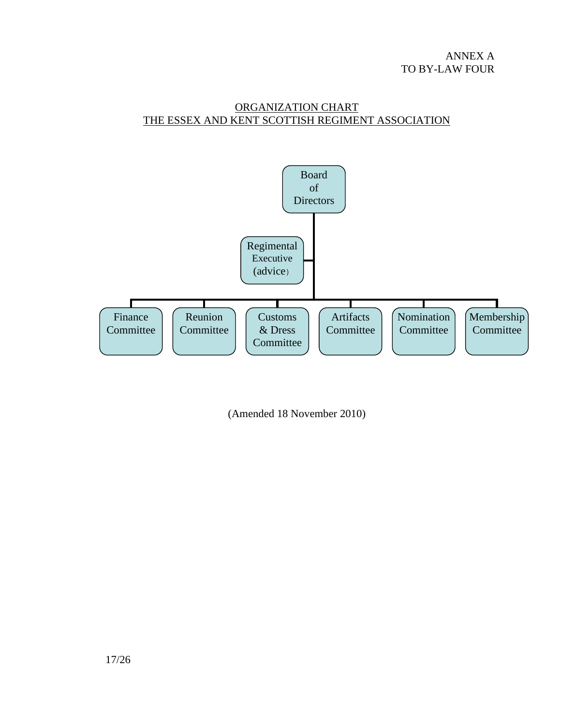# ORGANIZATION CHART THE ESSEX AND KENT SCOTTISH REGIMENT ASSOCIATION



(Amended 18 November 2010)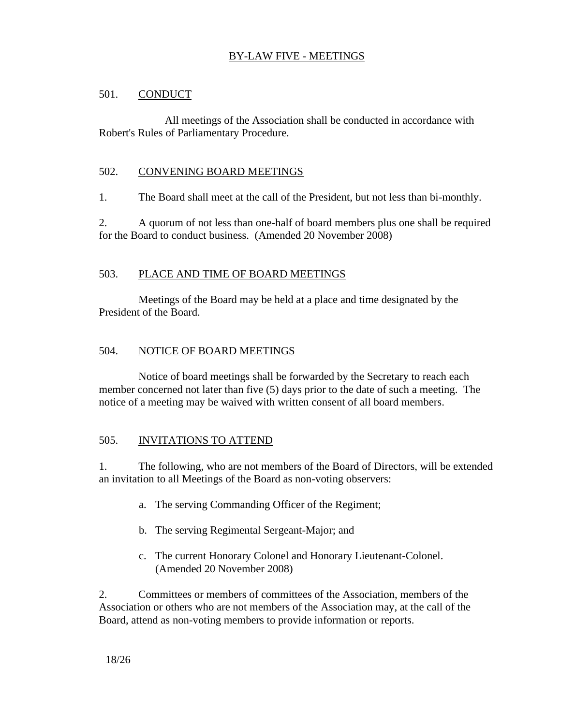# BY-LAW FIVE - MEETINGS

# 501. CONDUCT

All meetings of the Association shall be conducted in accordance with Robert's Rules of Parliamentary Procedure.

### 502. CONVENING BOARD MEETINGS

1. The Board shall meet at the call of the President, but not less than bi-monthly.

2. A quorum of not less than one-half of board members plus one shall be required for the Board to conduct business. (Amended 20 November 2008)

### 503. PLACE AND TIME OF BOARD MEETINGS

Meetings of the Board may be held at a place and time designated by the President of the Board.

### 504. NOTICE OF BOARD MEETINGS

Notice of board meetings shall be forwarded by the Secretary to reach each member concerned not later than five (5) days prior to the date of such a meeting. The notice of a meeting may be waived with written consent of all board members.

#### 505. INVITATIONS TO ATTEND

1. The following, who are not members of the Board of Directors, will be extended an invitation to all Meetings of the Board as non-voting observers:

- a. The serving Commanding Officer of the Regiment;
- b. The serving Regimental Sergeant-Major; and
- c. The current Honorary Colonel and Honorary Lieutenant-Colonel. (Amended 20 November 2008)

2. Committees or members of committees of the Association, members of the Association or others who are not members of the Association may, at the call of the Board, attend as non-voting members to provide information or reports.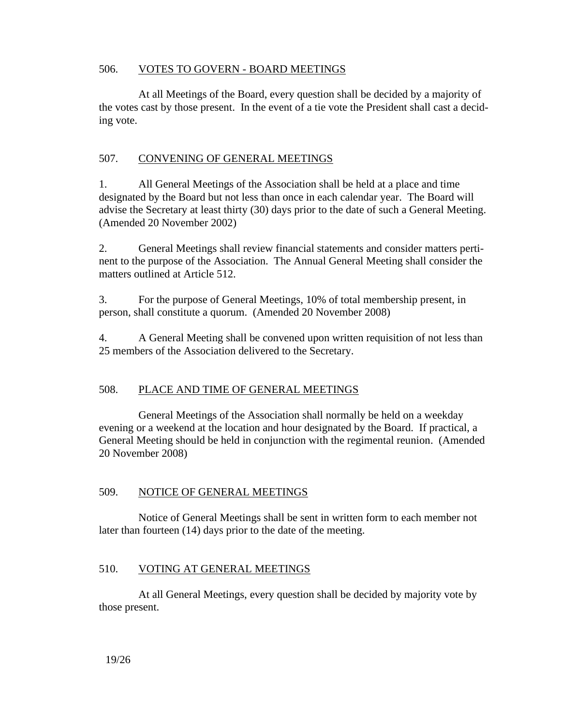### 506. VOTES TO GOVERN - BOARD MEETINGS

At all Meetings of the Board, every question shall be decided by a majority of the votes cast by those present. In the event of a tie vote the President shall cast a deciding vote.

### 507. CONVENING OF GENERAL MEETINGS

1. All General Meetings of the Association shall be held at a place and time designated by the Board but not less than once in each calendar year. The Board will advise the Secretary at least thirty (30) days prior to the date of such a General Meeting. (Amended 20 November 2002)

2. General Meetings shall review financial statements and consider matters pertinent to the purpose of the Association. The Annual General Meeting shall consider the matters outlined at Article 512.

3. For the purpose of General Meetings, 10% of total membership present, in person, shall constitute a quorum. (Amended 20 November 2008)

4. A General Meeting shall be convened upon written requisition of not less than 25 members of the Association delivered to the Secretary.

# 508. PLACE AND TIME OF GENERAL MEETINGS

General Meetings of the Association shall normally be held on a weekday evening or a weekend at the location and hour designated by the Board. If practical, a General Meeting should be held in conjunction with the regimental reunion. (Amended 20 November 2008)

#### 509. NOTICE OF GENERAL MEETINGS

Notice of General Meetings shall be sent in written form to each member not later than fourteen (14) days prior to the date of the meeting.

# 510. VOTING AT GENERAL MEETINGS

At all General Meetings, every question shall be decided by majority vote by those present.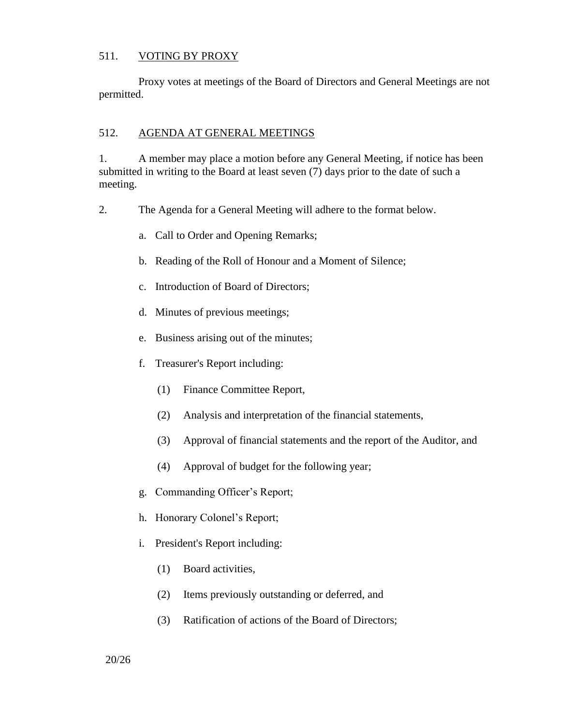### 511. VOTING BY PROXY

Proxy votes at meetings of the Board of Directors and General Meetings are not permitted.

### 512. AGENDA AT GENERAL MEETINGS

1. A member may place a motion before any General Meeting, if notice has been submitted in writing to the Board at least seven (7) days prior to the date of such a meeting.

- 2. The Agenda for a General Meeting will adhere to the format below.
	- a. Call to Order and Opening Remarks;
	- b. Reading of the Roll of Honour and a Moment of Silence;
	- c. Introduction of Board of Directors;
	- d. Minutes of previous meetings;
	- e. Business arising out of the minutes;
	- f. Treasurer's Report including:
		- (1) Finance Committee Report,
		- (2) Analysis and interpretation of the financial statements,
		- (3) Approval of financial statements and the report of the Auditor, and
		- (4) Approval of budget for the following year;
	- g. Commanding Officer's Report;
	- h. Honorary Colonel's Report;
	- i. President's Report including:
		- (1) Board activities,
		- (2) Items previously outstanding or deferred, and
		- (3) Ratification of actions of the Board of Directors;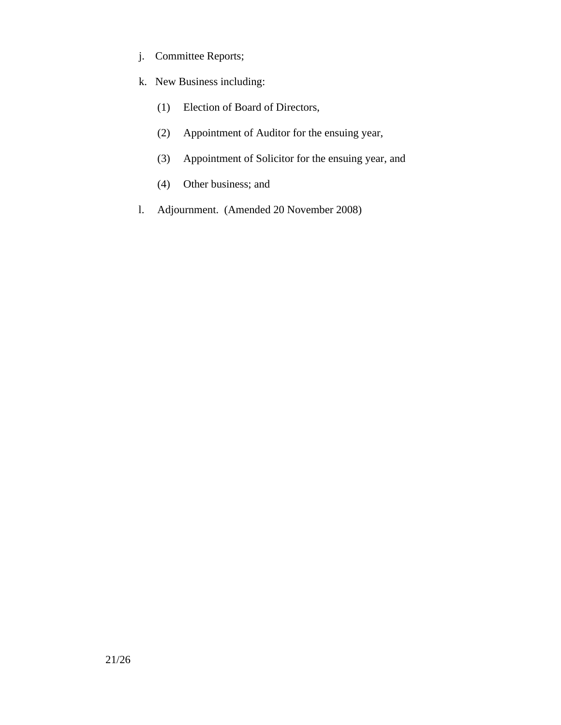- j. Committee Reports;
- k. New Business including:
	- (1) Election of Board of Directors,
	- (2) Appointment of Auditor for the ensuing year,
	- (3) Appointment of Solicitor for the ensuing year, and
	- (4) Other business; and
- l. Adjournment. (Amended 20 November 2008)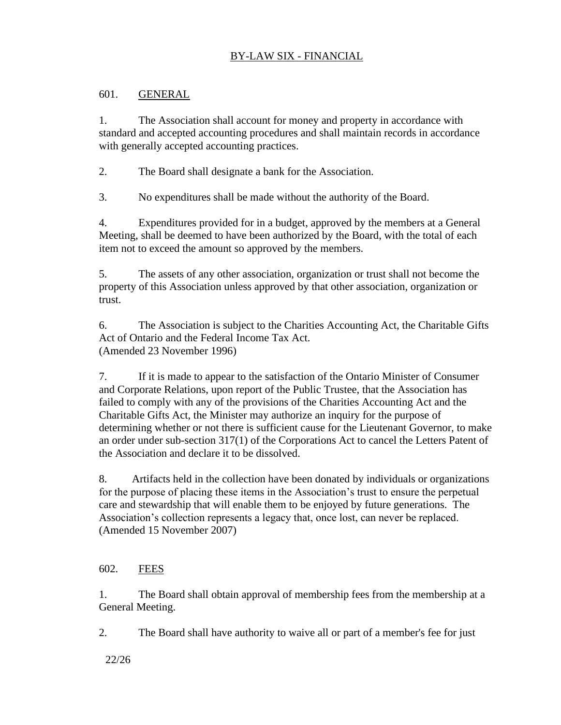# BY-LAW SIX - FINANCIAL

# 601. GENERAL

1. The Association shall account for money and property in accordance with standard and accepted accounting procedures and shall maintain records in accordance with generally accepted accounting practices.

2. The Board shall designate a bank for the Association.

3. No expenditures shall be made without the authority of the Board.

4. Expenditures provided for in a budget, approved by the members at a General Meeting, shall be deemed to have been authorized by the Board, with the total of each item not to exceed the amount so approved by the members.

5. The assets of any other association, organization or trust shall not become the property of this Association unless approved by that other association, organization or trust.

6. The Association is subject to the Charities Accounting Act, the Charitable Gifts Act of Ontario and the Federal Income Tax Act. (Amended 23 November 1996)

7. If it is made to appear to the satisfaction of the Ontario Minister of Consumer and Corporate Relations, upon report of the Public Trustee, that the Association has failed to comply with any of the provisions of the Charities Accounting Act and the Charitable Gifts Act, the Minister may authorize an inquiry for the purpose of determining whether or not there is sufficient cause for the Lieutenant Governor, to make an order under sub-section 317(1) of the Corporations Act to cancel the Letters Patent of the Association and declare it to be dissolved.

8. Artifacts held in the collection have been donated by individuals or organizations for the purpose of placing these items in the Association's trust to ensure the perpetual care and stewardship that will enable them to be enjoyed by future generations. The Association's collection represents a legacy that, once lost, can never be replaced. (Amended 15 November 2007)

602. FEES

1. The Board shall obtain approval of membership fees from the membership at a General Meeting.

2. The Board shall have authority to waive all or part of a member's fee for just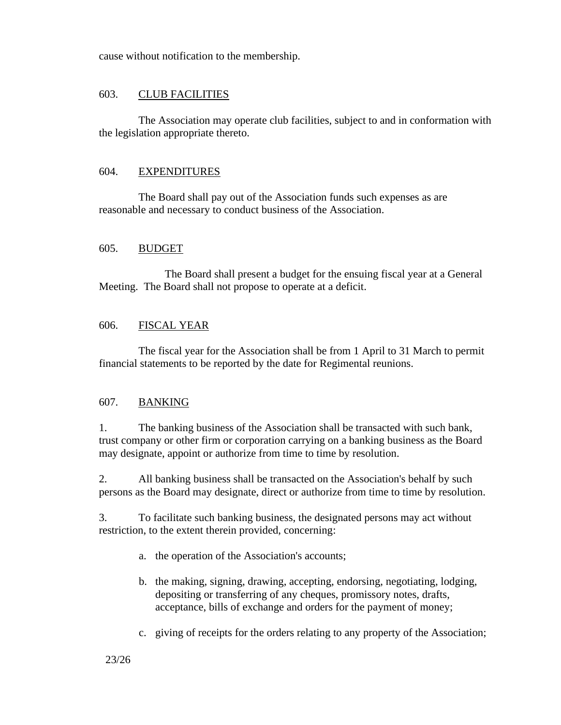cause without notification to the membership.

# 603. CLUB FACILITIES

The Association may operate club facilities, subject to and in conformation with the legislation appropriate thereto.

# 604. EXPENDITURES

The Board shall pay out of the Association funds such expenses as are reasonable and necessary to conduct business of the Association.

# 605. BUDGET

The Board shall present a budget for the ensuing fiscal year at a General Meeting. The Board shall not propose to operate at a deficit.

# 606. FISCAL YEAR

The fiscal year for the Association shall be from 1 April to 31 March to permit financial statements to be reported by the date for Regimental reunions.

# 607. BANKING

1. The banking business of the Association shall be transacted with such bank, trust company or other firm or corporation carrying on a banking business as the Board may designate, appoint or authorize from time to time by resolution.

2. All banking business shall be transacted on the Association's behalf by such persons as the Board may designate, direct or authorize from time to time by resolution.

3. To facilitate such banking business, the designated persons may act without restriction, to the extent therein provided, concerning:

- a. the operation of the Association's accounts;
- b. the making, signing, drawing, accepting, endorsing, negotiating, lodging, depositing or transferring of any cheques, promissory notes, drafts, acceptance, bills of exchange and orders for the payment of money;
- c. giving of receipts for the orders relating to any property of the Association;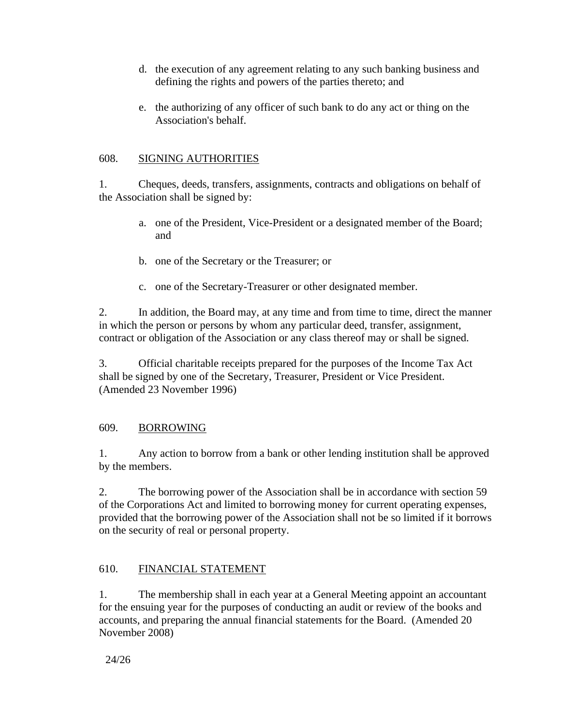- d. the execution of any agreement relating to any such banking business and defining the rights and powers of the parties thereto; and
- e. the authorizing of any officer of such bank to do any act or thing on the Association's behalf.

# 608. SIGNING AUTHORITIES

1. Cheques, deeds, transfers, assignments, contracts and obligations on behalf of the Association shall be signed by:

- a. one of the President, Vice-President or a designated member of the Board; and
- b. one of the Secretary or the Treasurer; or
- c. one of the Secretary-Treasurer or other designated member.

2. In addition, the Board may, at any time and from time to time, direct the manner in which the person or persons by whom any particular deed, transfer, assignment, contract or obligation of the Association or any class thereof may or shall be signed.

3. Official charitable receipts prepared for the purposes of the Income Tax Act shall be signed by one of the Secretary, Treasurer, President or Vice President. (Amended 23 November 1996)

# 609. BORROWING

1. Any action to borrow from a bank or other lending institution shall be approved by the members.

2. The borrowing power of the Association shall be in accordance with section 59 of the Corporations Act and limited to borrowing money for current operating expenses, provided that the borrowing power of the Association shall not be so limited if it borrows on the security of real or personal property.

# 610. FINANCIAL STATEMENT

1. The membership shall in each year at a General Meeting appoint an accountant for the ensuing year for the purposes of conducting an audit or review of the books and accounts, and preparing the annual financial statements for the Board. (Amended 20 November 2008)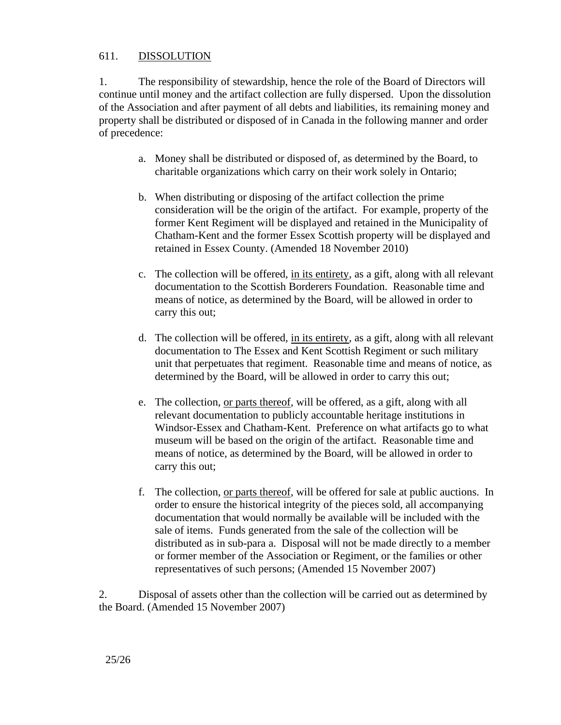# 611. DISSOLUTION

1. The responsibility of stewardship, hence the role of the Board of Directors will continue until money and the artifact collection are fully dispersed. Upon the dissolution of the Association and after payment of all debts and liabilities, its remaining money and property shall be distributed or disposed of in Canada in the following manner and order of precedence:

- a. Money shall be distributed or disposed of, as determined by the Board, to charitable organizations which carry on their work solely in Ontario;
- b. When distributing or disposing of the artifact collection the prime consideration will be the origin of the artifact. For example, property of the former Kent Regiment will be displayed and retained in the Municipality of Chatham-Kent and the former Essex Scottish property will be displayed and retained in Essex County. (Amended 18 November 2010)
- c. The collection will be offered, in its entirety, as a gift, along with all relevant documentation to the Scottish Borderers Foundation. Reasonable time and means of notice, as determined by the Board, will be allowed in order to carry this out;
- d. The collection will be offered, in its entirety, as a gift, along with all relevant documentation to The Essex and Kent Scottish Regiment or such military unit that perpetuates that regiment. Reasonable time and means of notice, as determined by the Board, will be allowed in order to carry this out;
- e. The collection, or parts thereof, will be offered, as a gift, along with all relevant documentation to publicly accountable heritage institutions in Windsor-Essex and Chatham-Kent. Preference on what artifacts go to what museum will be based on the origin of the artifact. Reasonable time and means of notice, as determined by the Board, will be allowed in order to carry this out;
- f. The collection, or parts thereof, will be offered for sale at public auctions. In order to ensure the historical integrity of the pieces sold, all accompanying documentation that would normally be available will be included with the sale of items. Funds generated from the sale of the collection will be distributed as in sub-para a. Disposal will not be made directly to a member or former member of the Association or Regiment, or the families or other representatives of such persons; (Amended 15 November 2007)

2. Disposal of assets other than the collection will be carried out as determined by the Board. (Amended 15 November 2007)